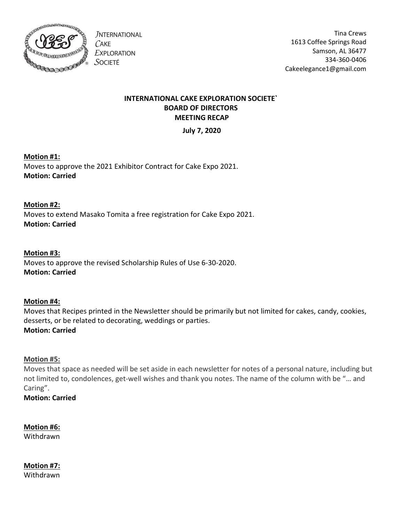

**JNTERNATIONAL**  $C$ AKE **EXPLORATION** SOCIETÉ

Tina Crews 1613 Coffee Springs Road Samson, AL 36477 334-360-0406 Cakeelegance1@gmail.com

## INTERNATIONAL CAKE EXPLORATION SOCIETE` BOARD OF DIRECTORS MEETING RECAP

July 7, 2020

## Motion #1:

Moves to approve the 2021 Exhibitor Contract for Cake Expo 2021. Motion: Carried

## Motion #2: Moves to extend Masako Tomita a free registration for Cake Expo 2021. Motion: Carried

## Motion #3:

Moves to approve the revised Scholarship Rules of Use 6-30-2020. Motion: Carried

## Motion #4:

Moves that Recipes printed in the Newsletter should be primarily but not limited for cakes, candy, cookies, desserts, or be related to decorating, weddings or parties. Motion: Carried

## Motion #5:

Moves that space as needed will be set aside in each newsletter for notes of a personal nature, including but not limited to, condolences, get-well wishes and thank you notes. The name of the column with be "… and Caring".

Motion: Carried

Motion #6: Withdrawn

Motion #7: Withdrawn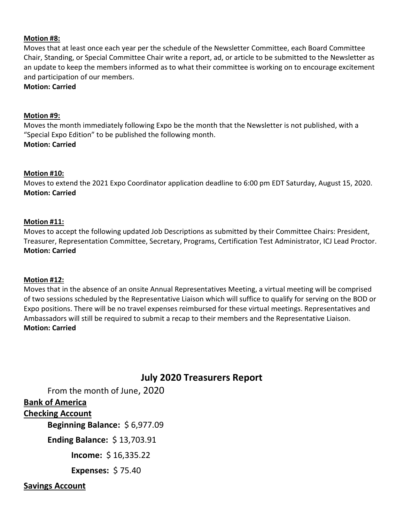#### Motion #8:

Moves that at least once each year per the schedule of the Newsletter Committee, each Board Committee Chair, Standing, or Special Committee Chair write a report, ad, or article to be submitted to the Newsletter as an update to keep the members informed as to what their committee is working on to encourage excitement and participation of our members.

Motion: Carried

#### Motion #9:

Moves the month immediately following Expo be the month that the Newsletter is not published, with a "Special Expo Edition" to be published the following month.

Motion: Carried

#### Motion #10:

Moves to extend the 2021 Expo Coordinator application deadline to 6:00 pm EDT Saturday, August 15, 2020. Motion: Carried

#### Motion #11:

Moves to accept the following updated Job Descriptions as submitted by their Committee Chairs: President, Treasurer, Representation Committee, Secretary, Programs, Certification Test Administrator, ICJ Lead Proctor. Motion: Carried

#### Motion #12:

Moves that in the absence of an onsite Annual Representatives Meeting, a virtual meeting will be comprised of two sessions scheduled by the Representative Liaison which will suffice to qualify for serving on the BOD or Expo positions. There will be no travel expenses reimbursed for these virtual meetings. Representatives and Ambassadors will still be required to submit a recap to their members and the Representative Liaison. Motion: Carried

# July 2020 Treasurers Report

From the month of June, 2020

## Bank of America

## Checking Account

Beginning Balance: \$ 6,977.09

Ending Balance: \$ 13,703.91

Income: \$ 16,335.22

Expenses: \$ 75.40

Savings Account